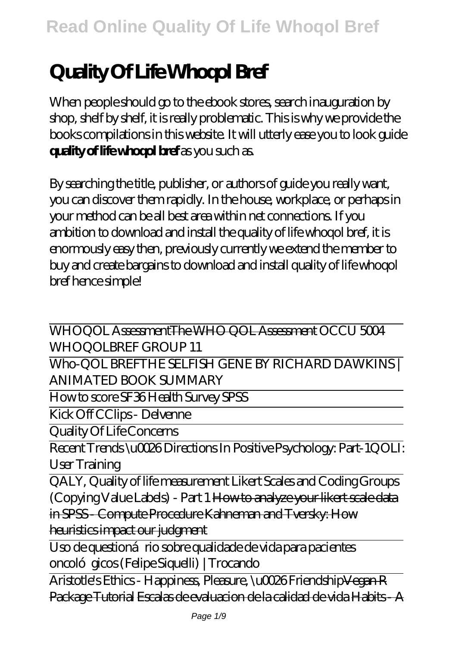# **Quality Of Life Whoqol Bref**

When people should go to the ebook stores, search inauguration by shop, shelf by shelf, it is really problematic. This is why we provide the books compilations in this website. It will utterly ease you to look guide **quality of life whoqol bref** as you such as.

By searching the title, publisher, or authors of guide you really want, you can discover them rapidly. In the house, workplace, or perhaps in your method can be all best area within net connections. If you ambition to download and install the quality of life whoqol bref, it is enormously easy then, previously currently we extend the member to buy and create bargains to download and install quality of life whoqol bref hence simple!

WHOQOL AssessmentThe WHO QOL Assessment *OCCU 5004 WHOQOLBREF GROUP 11*

Who-QOL BREF*THE SELFISH GENE BY RICHARD DAWKINS | ANIMATED BOOK SUMMARY*

How to score SF36 Health Survey SPSS

Kick Off CClips - Delvenne

Quality Of Life Concerns

Recent Trends \u0026 Directions In Positive Psychology: Part-1*QOLI: User Training*

QALY, Quality of life measurement Likert Scales and Coding Groups (Copying Value Labels) - Part 1 How to analyze your likert scale data in SPSS - Compute Procedure Kahneman and Tversky: How heuristics impact our judgment

Uso de questioná rio sobre qualidade de vida para pacientes oncológicos (Felipe Siquelli) | Trocando

Aristotle's Ethics - Happiness, Pleasure, \u0026 FriendshipVegan R Package Tutorial Escalas de evaluacion de la calidad de vida Habits - A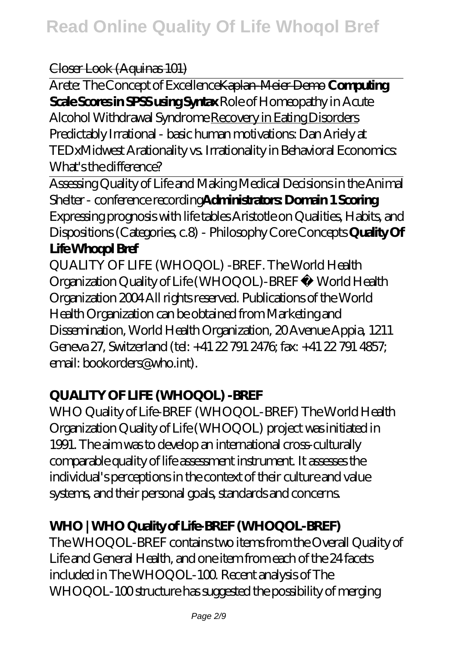#### Closer Look (Aquinas 101)

Arete: The Concept of ExcellenceKaplan-Meier Demo **Computing Scale Scores in SPSS using Syntax** *Role of Homeopathy in Acute Alcohol Withdrawal Syndrome* Recovery in Eating Disorders *Predictably Irrational - basic human motivations: Dan Ariely at TEDxMidwest* Arationality vs. Irrationality in Behavioral Economics: What's the difference?

Assessing Quality of Life and Making Medical Decisions in the Animal Shelter - conference recording**Administrators: Domain 1 Scoring** Expressing prognosis with life tables *Aristotle on Qualities, Habits, and Dispositions (Categories, c.8) - Philosophy Core Concepts* **Quality Of Life Whoqol Bref**

QUALITY OF LIFE (WHOQOL) -BREF. The World Health Organization Quality of Life (WHOQOL)-BREF © World Health Organization 2004 All rights reserved. Publications of the World Health Organization can be obtained from Marketing and Dissemination, World Health Organization, 20 Avenue Appia, 1211 Geneva 27, Switzerland (tel: +41 22 791 2476; fax: +41 22 791 4857; email: bookorders@who.int).

#### **QUALITY OF LIFE (WHOQOL) -BREF**

WHO Quality of Life-BREF (WHOQOL-BREF) The World Health Organization Quality of Life (WHOQOL) project was initiated in 1991. The aim was to develop an international cross-culturally comparable quality of life assessment instrument. It assesses the individual's perceptions in the context of their culture and value systems, and their personal goals, standards and concerns.

#### **WHO | WHO Quality of Life-BREF (WHOQOL-BREF)**

The WHOQOL-BREF contains two items from the Overall Quality of Life and General Health, and one item from each of the 24 facets included in The WHOQOL-100. Recent analysis of The WHOQOL-100 structure has suggested the possibility of merging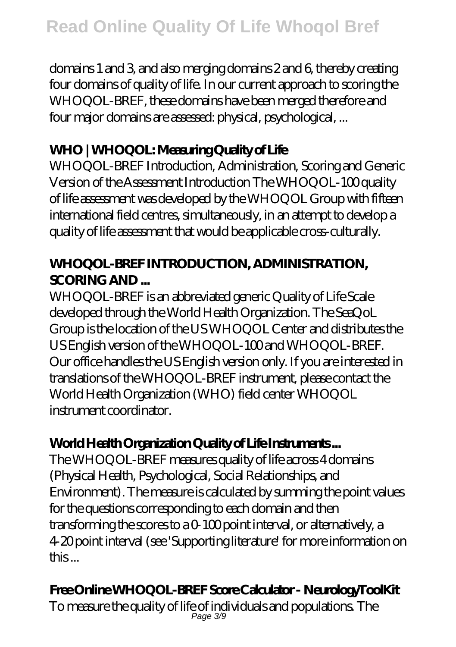domains 1 and 3, and also merging domains 2 and 6, thereby creating four domains of quality of life. In our current approach to scoring the WHOQOL-BREF, these domains have been merged therefore and four major domains are assessed: physical, psychological, ...

# **WHO | WHOQOL: Measuring Quality of Life**

WHOQOL-BREF Introduction, Administration, Scoring and Generic Version of the Assessment Introduction The WHOQOL-100 quality of life assessment was developed by the WHOQOL Group with fifteen international field centres, simultaneously, in an attempt to develop a quality of life assessment that would be applicable cross-culturally.

## **WHOQOL-BREF INTRODUCTION, ADMINISTRATION, SCORING AND ...**

WHOQOL-BREF is an abbreviated generic Quality of Life Scale developed through the World Health Organization. The SeaQoL Group is the location of the US WHOQOL Center and distributes the US English version of the WHOQOL-100 and WHOQOL-BREF. Our office handles the US English version only. If you are interested in translations of the WHOQOL-BREF instrument, please contact the World Health Organization (WHO) field center WHOQOL instrument coordinator.

# **World Health Organization Quality of Life Instruments ...**

The WHOQOL-BREF measures quality of life across 4 domains (Physical Health, Psychological, Social Relationships, and Environment). The measure is calculated by summing the point values for the questions corresponding to each domain and then transforming the scores to a 0-100 point interval, or alternatively, a 4-20 point interval (see 'Supporting literature' for more information on this ...

# **Free Online WHOQOL-BREF Score Calculator - NeurologyToolKit**

To measure the quality of life of individuals and populations. The Page 3/9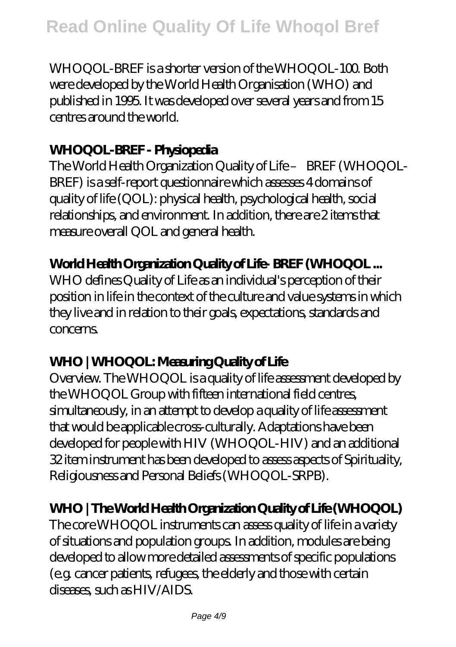WHOQOL-BREF is a shorter version of the WHOQOL-100. Both were developed by the World Health Organisation (WHO) and published in 1995. It was developed over several years and from 15 centres around the world.

#### **WHOQOL-BREF - Physiopedia**

The World Health Organization Quality of Life – BREF (WHOQOL-BREF) is a self-report questionnaire which assesses 4 domains of quality of life (QOL): physical health, psychological health, social relationships, and environment. In addition, there are 2 items that measure overall QOL and general health.

#### **World Health Organization Quality of Life- BREF (WHOQOL ...**

WHO defines Quality of Life as an individual's perception of their position in life in the context of the culture and value systems in which they live and in relation to their goals, expectations, standards and concerns.

#### **WHO | WHOQOL: Measuring Quality of Life**

Overview. The WHOQOL is a quality of life assessment developed by the WHOQOL Group with fifteen international field centres, simultaneously, in an attempt to develop a quality of life assessment that would be applicable cross-culturally. Adaptations have been developed for people with HIV (WHOQOL-HIV) and an additional 32 item instrument has been developed to assess aspects of Spirituality, Religiousness and Personal Beliefs (WHOQOL-SRPB).

#### **WHO | The World Health Organization Quality of Life (WHOQOL)**

The core WHOQOL instruments can assess quality of life in a variety of situations and population groups. In addition, modules are being developed to allow more detailed assessments of specific populations (e.g. cancer patients, refugees, the elderly and those with certain diseases, such as HIV/AIDS.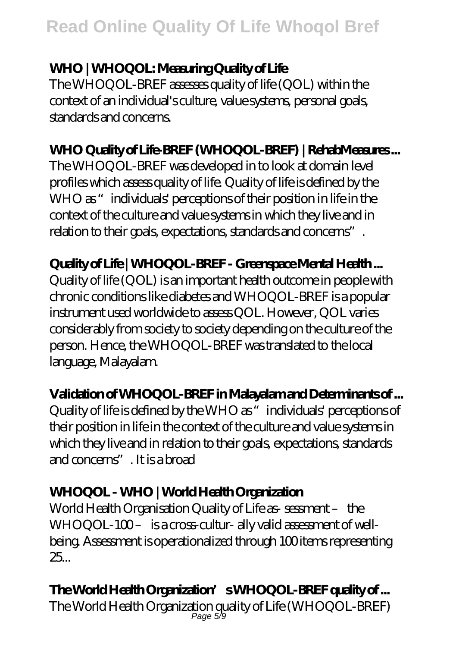#### **WHO | WHOQOL: Measuring Quality of Life**

The WHOQOL-BREF assesses quality of life (QOL) within the context of an individual's culture, value systems, personal goals, standards and concerns.

# **WHO Quality of Life-BREF (WHOQOL-BREF) | RehabMeasures ...**

The WHOQOL-BREF was developed in to look at domain level profiles which assess quality of life. Quality of life is defined by the WHO as "individuals' perceptions of their position in life in the context of the culture and value systems in which they live and in relation to their goals, expectations, standards and concerns".

#### **Quality of Life | WHOQOL-BREF - Greenspace Mental Health ...**

Quality of life (QOL) is an important health outcome in people with chronic conditions like diabetes and WHOQOL-BREF is a popular instrument used worldwide to assess QOL. However, QOL varies considerably from society to society depending on the culture of the person. Hence, the WHOQOL-BREF was translated to the local language, Malayalam.

# **Validation of WHOQOL-BREF in Malayalam and Determinants of ...**

Quality of life is defined by the WHO as "individuals' perceptions of their position in life in the context of the culture and value systems in which they live and in relation to their goals, expectations, standards and concerns". It is a broad

## **WHOQOL - WHO | World Health Organization**

World Health Organisation Quality of Life as- sessment – the WHOQOL-100- is a cross-cultur- ally valid assessment of wellbeing. Assessment is operationalized through 100 items representing 25...

# **The World Health Organization's WHOQOL-BREF quality of ...**

The World Health Organization quality of Life (WHOQOL-BREF) Page 5/9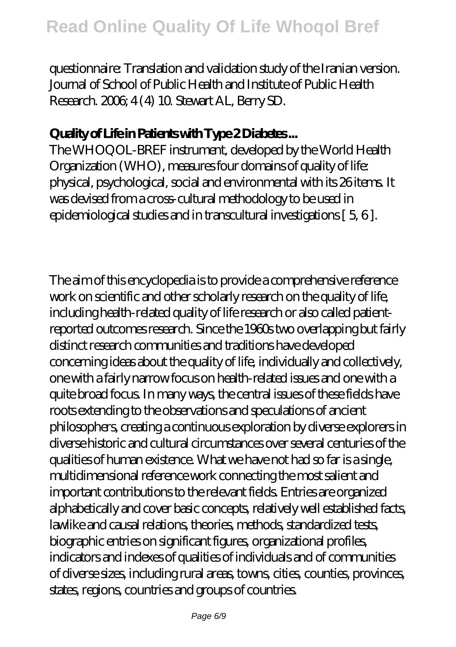questionnaire: Translation and validation study of the Iranian version. Journal of School of Public Health and Institute of Public Health Research. 2006; 4 (4) 10. Stewart AL, Berry SD.

#### **Quality of Life in Patients with Type 2 Diabetes ...**

The WHOQOL-BREF instrument, developed by the World Health Organization (WHO), measures four domains of quality of life: physical, psychological, social and environmental with its 26 items. It was devised from a cross-cultural methodology to be used in epidemiological studies and in transcultural investigations [ 5, 6 ].

The aim of this encyclopedia is to provide a comprehensive reference work on scientific and other scholarly research on the quality of life, including health-related quality of life research or also called patientreported outcomes research. Since the 1960s two overlapping but fairly distinct research communities and traditions have developed concerning ideas about the quality of life, individually and collectively, one with a fairly narrow focus on health-related issues and one with a quite broad focus. In many ways, the central issues of these fields have roots extending to the observations and speculations of ancient philosophers, creating a continuous exploration by diverse explorers in diverse historic and cultural circumstances over several centuries of the qualities of human existence. What we have not had so far is a single, multidimensional reference work connecting the most salient and important contributions to the relevant fields. Entries are organized alphabetically and cover basic concepts, relatively well established facts, lawlike and causal relations, theories, methods, standardized tests, biographic entries on significant figures, organizational profiles, indicators and indexes of qualities of individuals and of communities of diverse sizes, including rural areas, towns, cities, counties, provinces, states, regions, countries and groups of countries.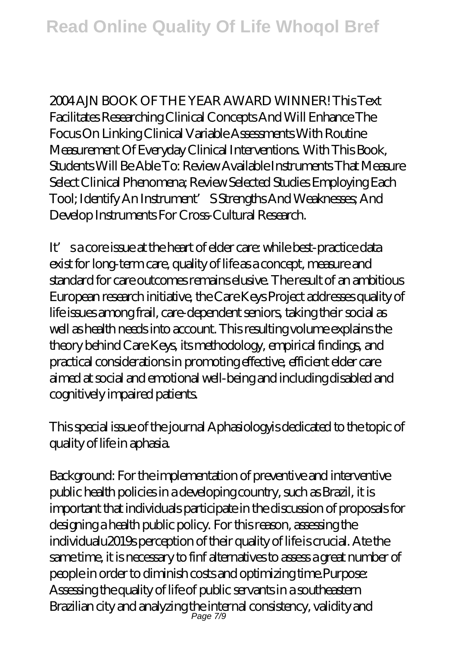2004 A IN BOOK OF THE YEAR AWARD WINNER! This Text Facilitates Researching Clinical Concepts And Will Enhance The Focus On Linking Clinical Variable Assessments With Routine Measurement Of Everyday Clinical Interventions. With This Book, Students Will Be Able To: Review Available Instruments That Measure Select Clinical Phenomena; Review Selected Studies Employing Each Tool; Identify An Instrument' S Strengths And Weaknesses; And Develop Instruments For Cross-Cultural Research.

It's a core issue at the heart of elder care: while best-practice data exist for long-term care, quality of life as a concept, measure and standard for care outcomes remains elusive. The result of an ambitious European research initiative, the Care Keys Project addresses quality of life issues among frail, care-dependent seniors, taking their social as well as health needs into account. This resulting volume explains the theory behind Care Keys, its methodology, empirical findings, and practical considerations in promoting effective, efficient elder care aimed at social and emotional well-being and including disabled and cognitively impaired patients.

This special issue of the journal Aphasiologyis dedicated to the topic of quality of life in aphasia.

Background: For the implementation of preventive and interventive public health policies in a developing country, such as Brazil, it is important that individuals participate in the discussion of proposals for designing a health public policy. For this reason, assessing the individualu2019s perception of their quality of life is crucial. Ate the same time, it is necessary to finf alternatives to assess a great number of people in order to diminish costs and optimizing time.Purpose: Assessing the quality of life of public servants in a southeastern Brazilian city and analyzing the internal consistency, validity and Page 7/9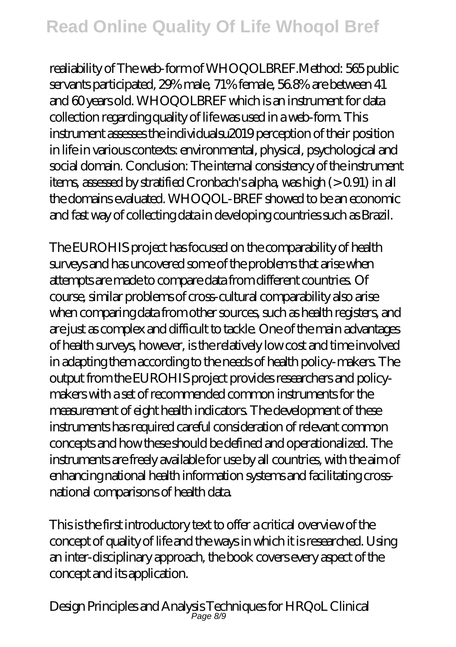# **Read Online Quality Of Life Whoqol Bref**

realiability of The web-form of WHOQOLBREF.Method: 565 public servants participated, 29% male, 71% female, 56.8% are between 41 and 60 years old. WHOQOLBREF which is an instrument for data collection regarding quality of life was used in a web-form. This instrument assesses the individualsu2019 perception of their position in life in various contexts: environmental, physical, psychological and social domain. Conclusion: The internal consistency of the instrument items, assessed by stratified Cronbach's alpha, was high (> 0.91) in all the domains evaluated. WHOQOL-BREF showed to be an economic and fast way of collecting data in developing countries such as Brazil.

The EUROHIS project has focused on the comparability of health surveys and has uncovered some of the problems that arise when attempts are made to compare data from different countries. Of course, similar problems of cross-cultural comparability also arise when comparing data from other sources, such as health registers, and are just as complex and difficult to tackle. One of the main advantages of health surveys, however, is the relatively low cost and time involved in adapting them according to the needs of health policy-makers. The output from the EUROHIS project provides researchers and policymakers with a set of recommended common instruments for the measurement of eight health indicators. The development of these instruments has required careful consideration of relevant common concepts and how these should be defined and operationalized. The instruments are freely available for use by all countries, with the aim of enhancing national health information systems and facilitating crossnational comparisons of health data.

This is the first introductory text to offer a critical overview of the concept of quality of life and the ways in which it is researched. Using an inter-disciplinary approach, the book covers every aspect of the concept and its application.

Design Principles and Analysis Techniques for HRQoL Clinical Page 8/9